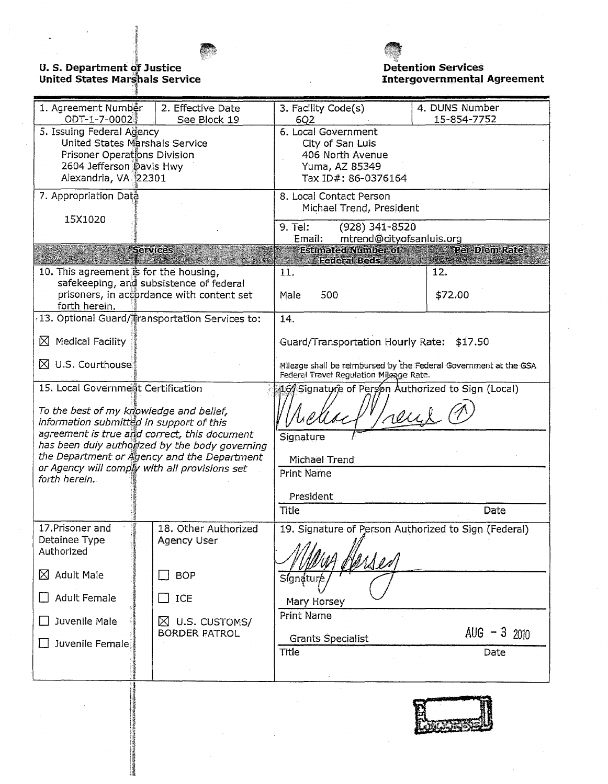

# **U. S. Department of Justice<br>United States Marshals Service**



**Detention Services Intergovernmental Agreement** 

| 1. Agreement Number                      | 2. Effective Date                              | 3. Facility Code(s)                                              | 4. DUNS Number |  |  |  |  |
|------------------------------------------|------------------------------------------------|------------------------------------------------------------------|----------------|--|--|--|--|
| ODT-1-7-0002                             | See Block 19                                   | 15-854-7752<br>6Q <sub>2</sub>                                   |                |  |  |  |  |
| 5. Issuing Federal Agency                |                                                | 6. Local Government                                              |                |  |  |  |  |
| United States Marshals Service           |                                                | City of San Luis.                                                |                |  |  |  |  |
| Prisoner Operations Division             |                                                | 406 North Avenue                                                 |                |  |  |  |  |
| 2604 Jefferson Davis Hwy                 |                                                | Yuma, AZ 85349                                                   |                |  |  |  |  |
|                                          |                                                |                                                                  |                |  |  |  |  |
| Alexandria, VA 22301                     |                                                | Tax ID#: 86-0376164                                              |                |  |  |  |  |
| 7. Appropriation Data                    |                                                | 8. Local Contact Person                                          |                |  |  |  |  |
|                                          |                                                | Michael Trend, President                                         |                |  |  |  |  |
| 15X1020                                  |                                                |                                                                  |                |  |  |  |  |
|                                          |                                                | (928) 341-8520<br>9. Tel:                                        |                |  |  |  |  |
|                                          |                                                | Email:<br>mtrend@cityofsanluis.org                               |                |  |  |  |  |
|                                          | <b>Services</b>                                | Estimated Number of<br>Per-Diem Rate                             |                |  |  |  |  |
|                                          |                                                | <b>Federal Beds</b>                                              |                |  |  |  |  |
| 10. This agreement is for the housing,   |                                                | 11.                                                              | 12.            |  |  |  |  |
|                                          | safekeeping, and subsistence of federal        |                                                                  |                |  |  |  |  |
|                                          |                                                |                                                                  |                |  |  |  |  |
|                                          | prisoners, in accordance with content set      | 500<br>Male                                                      | \$72.00        |  |  |  |  |
| forth herein.                            |                                                |                                                                  |                |  |  |  |  |
|                                          | 13. Optional Guard/Transportation Services to: | 14.                                                              |                |  |  |  |  |
|                                          |                                                |                                                                  |                |  |  |  |  |
| <b>Medical Facility</b><br>⋈             |                                                | Guard/Transportation Hourly Rate: \$17.50                        |                |  |  |  |  |
|                                          |                                                |                                                                  |                |  |  |  |  |
| $\boxtimes$ U.S. Courthouse.             |                                                | Mileage shall be reimbursed by the Federal Government at the GSA |                |  |  |  |  |
|                                          |                                                | Federal Travel Regulation Mileage Rate.                          |                |  |  |  |  |
| 15. Local Government Certification       |                                                | 16/ Signatyre of Person Authorized to Sign (Local)               |                |  |  |  |  |
|                                          |                                                |                                                                  |                |  |  |  |  |
|                                          |                                                |                                                                  |                |  |  |  |  |
| To the best of my knowledge and belief,  |                                                |                                                                  | reul           |  |  |  |  |
| information submitted in support of this |                                                |                                                                  |                |  |  |  |  |
|                                          | agreement is true and correct, this document   | Signature                                                        |                |  |  |  |  |
|                                          | has been duly authorized by the body governing |                                                                  |                |  |  |  |  |
|                                          | the Department or Agency and the Department    | Michael Trend                                                    |                |  |  |  |  |
|                                          | or Agency will comply with all provisions set  | <b>Print Name</b>                                                |                |  |  |  |  |
| forth herein.                            |                                                |                                                                  |                |  |  |  |  |
|                                          |                                                | President                                                        |                |  |  |  |  |
|                                          |                                                |                                                                  |                |  |  |  |  |
|                                          |                                                | <b>Title</b>                                                     | Date           |  |  |  |  |
| 17. Prisoner and                         | 18. Other Authorized                           |                                                                  |                |  |  |  |  |
|                                          |                                                | 19. Signature of Person Authorized to Sign (Federal)             |                |  |  |  |  |
| Detainee Type                            | <b>Agency User</b>                             |                                                                  |                |  |  |  |  |
| Authorized                               |                                                |                                                                  |                |  |  |  |  |
|                                          |                                                | ersen                                                            |                |  |  |  |  |
| <b>Adult Male</b><br>⊠                   | <b>BOP</b>                                     | Signature                                                        |                |  |  |  |  |
|                                          |                                                |                                                                  |                |  |  |  |  |
| <b>Adult Female</b>                      | ICE                                            | Mary Horsey                                                      |                |  |  |  |  |
|                                          |                                                |                                                                  |                |  |  |  |  |
| Juvenile Male                            | $\boxtimes$ U.S. CUSTOMS/                      | <b>Print Name</b>                                                |                |  |  |  |  |
|                                          | <b>BORDER PATROL</b>                           |                                                                  | $AUG - 3$ 2010 |  |  |  |  |
| Juvenile Female                          |                                                | <b>Grants Specialist</b>                                         |                |  |  |  |  |
|                                          |                                                | <b>Title</b>                                                     | Date           |  |  |  |  |
|                                          |                                                |                                                                  |                |  |  |  |  |
|                                          |                                                |                                                                  |                |  |  |  |  |
|                                          |                                                |                                                                  |                |  |  |  |  |

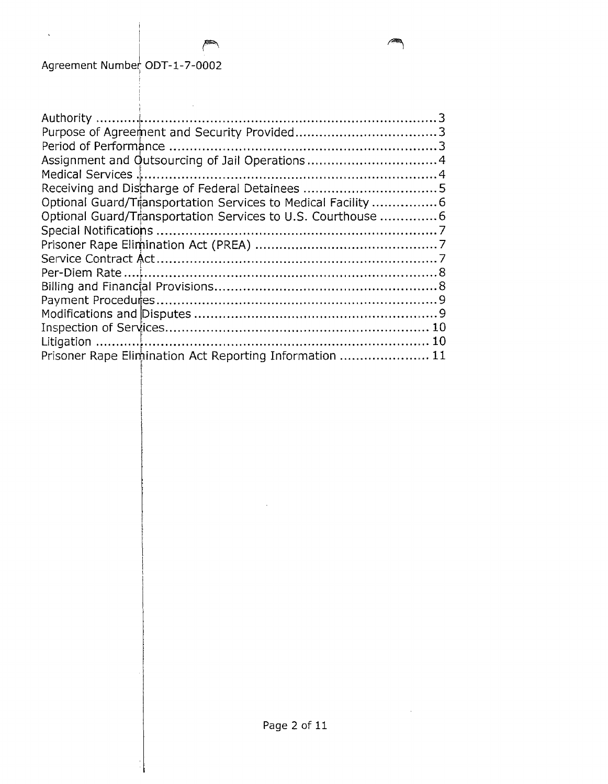$\overline{\phantom{a}}$ 

| Assignment and Outsourcing of Jail Operations4               |  |
|--------------------------------------------------------------|--|
|                                                              |  |
|                                                              |  |
| Optional Guard/Transportation Services to Medical Facility 6 |  |
| Optional Guard/Transportation Services to U.S. Courthouse  6 |  |
|                                                              |  |
|                                                              |  |
|                                                              |  |
|                                                              |  |
|                                                              |  |
|                                                              |  |
|                                                              |  |
|                                                              |  |
|                                                              |  |
| Prisoner Rape Elimination Act Reporting Information  11      |  |

 $\bar{z}$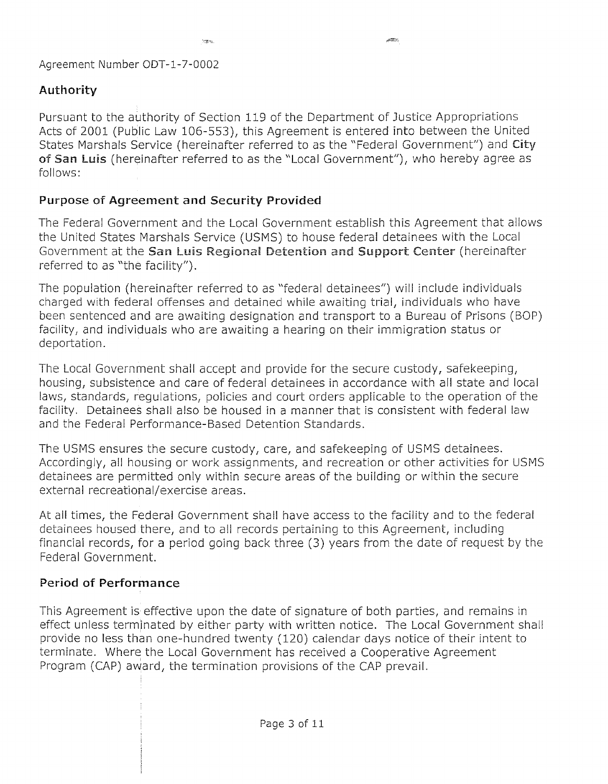# **Authority**

Pursuant to the authority of Section 119 of the Department of Justice Appropriations Acts of 2001 (Public Law 106-553), this Agreement is entered into between the United States Marshals Service (hereinafter referred to as the "Federal Government") and City of San Luis (hereinafter referred to as the "Local Government"), who hereby agree as follows:

# **Purpose of Agreement and Security Provided**

The Federal Government and the Local Government establish this Agreement that allows the United States Marshals Service (USMS) to house federal detainees with the Local Government at the San Luis Regional Detention and Support Center (hereinafter referred to as "the facility").

The population (hereinafter referred to as "federal detainees") will include individuals charged with federal offenses and detained while awaiting trial, individuals who have been sentenced and are awaiting designation and transport to a Bureau of Prisons (BOP) facility, and individuals who are awaiting a hearing on their immigration status or deportation.

The Local Government shall accept and provide for the secure custody, safekeeping, housing, subsistence and care of federal detainees in accordance with all state and local laws, standards, regulations, policies and court orders applicable to the operation of the facility. Detainees shall also be housed in a manner that is consistent with federal law and the Federal Performance-Based Detention Standards.

The USMS ensures the secure custody, care, and safekeeping of USMS detainees. Accordingly, all housing or work assignments, and recreation or other activities for USMS detainees are permitted only within secure areas of the building or within the secure external recreational/exercise areas.

At all times, the Federal Government shall have access to the facility and to the federal detainees housed there, and to all records pertaining to this Agreement, including financial records, for a period going back three (3) years from the date of request by the Federal Government.

# **Period of Performance**

This Agreement is effective upon the date of signature of both parties, and remains in effect unless terminated by either party with written notice. The Local Government shall provide no less than one-hundred twenty (120) calendar days notice of their intent to terminate. Where the Local Government has received a Cooperative Agreement Program (CAP) award, the termination provisions of the CAP prevail.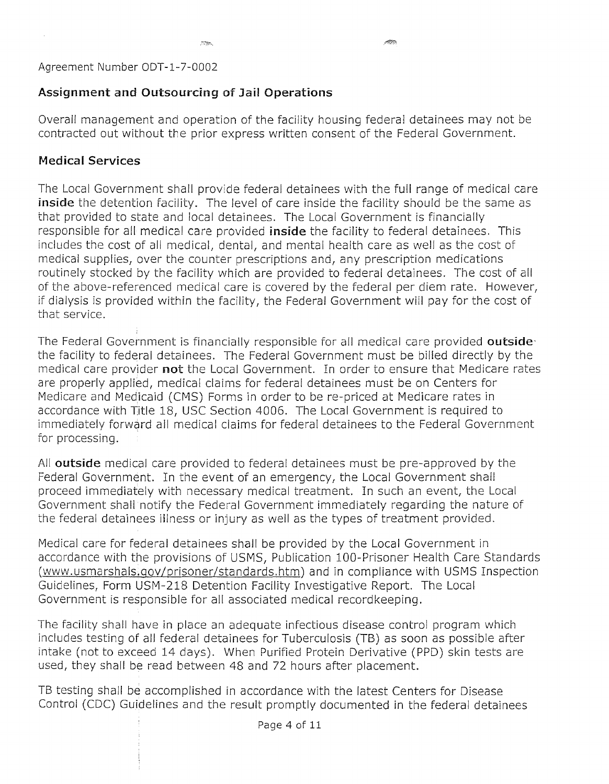# **Assignment and Outsourcing of Jail Operations**

Overall management and operation of the facility housing federal detainees may not be contracted out without the prior express written consent of the Federal Government.

# **Medical Services**

 $\bar{z}$ 

The Local Government shall provide federal detainees with the full range of medical care **inside** the detention facility. The level of care inside the facility should be the same as that provided to state and local detainees. The Local Government is financially responsible for all medical care provided *inside* the facility to federal detainees. This includes the cost of all medical, dental, and mental health care as well as the cost of medical supplies, over the counter prescriptions and, any prescription medications routinely stocked by the facility which are provided to federal detainees. The cost of all of the above-referenced medical care is covered by the federal per diem rate. However, if dialysis is provided within the facility, the Federal Government will pay for the cost of that service.

The Federal Government is financially responsible for all medical care provided **outside'**  the facility to federal detainees. The Federal Government must be billed directly by the medical care provider **not** the Local Government. In order to ensure that Medicare rates are properly applied, medical claims for federal detainees must be on Centers for Medicare and Medicaid (CMS) Forms in order to be re-priced at Medicare rates in accordance with Title 18, USC Section 4006. The Local Government is required to immediately forward all medical claims for federal detainees to the Federal Government for processing.

All **outside** medical care provided to federal detainees must be pre-approved by the Federal Government. In the event of an emergency, the Local Government shall proceed immediately with necessary medical treatment. In such an event, the Local Government shall notify the Federal Government immediately regarding the nature of the federal detainees illness or injury as well as the types of treatment provided.

Medical care for federal detainees shall be provided by the Local Government in accordance with the provisions of USMS, Publication 100-Prisoner Health Care Standards (www.usmarshals.gov/prisoner/standards.htm) and in compliance with USMS Inspection Guidelines, Form USM-218 Detention Facility Investigative Report. The Local Government is responsible for all associated medical record keeping.

The facility shall have in place an adequate infectious disease control program which includes testing of all federal detainees for Tuberculosis (TB) as soon as possible after intake (not to exceed 14 days). When Purified Protein Derivative (PPD) skin tests are used, they shall be read between 48 and 72 hours after placement.

TB testing shall be accomplished in accordance with the latest Centers for Disease Control (CDC) Guidelines and the result promptly documented **in** the federal detainees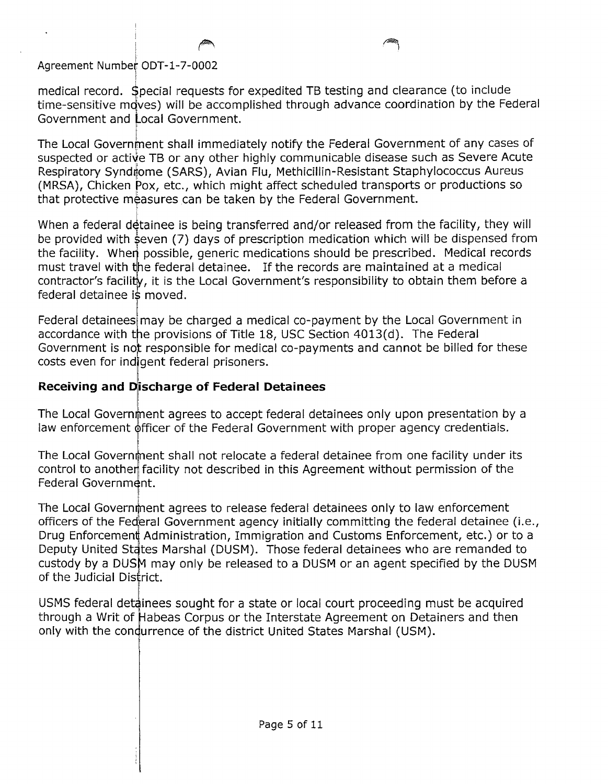medical record. Special requests for expedited TB testing and clearance (to include time-sensitive mqves) will be accomplished through advance coordination by the Federal Government and Local Government.

1999 - 1999 - 1999 - 1999 - 1999 - 1999 - 1999 - 1999 - 1999 - 1999 - 1999 - 1999 - 1999 - 1999 - 1999 - 1999<br>1990 - 1990 - 1990 - 1990 - 1990 - 1990 - 1990 - 1990 - 1990 - 1990 - 1990 - 1990 - 1990 - 1990 - 1990 - 1990<br>19

The Local Government shall immediately notify the Federal Government of any cases of suspected or active TB or any other highly communicable disease such as Severe Acute Respiratory Syndrome (SARS), Avian Flu, Methicillin-Resistant Staphylococcus Aureus (MRSA), Chicken Pox, etc., which might affect scheduled transports or productions so that protective measures can be taken by the Federal Government.

When a federal detainee is being transferred and/or released from the facility, they will be provided with seven (7) days of prescription medication which will be dispensed from the facility. When possible, generic medications should be prescribed. Medical records must travel with the federal detainee. If the records are maintained at a medical contractor's facility, it is the Local Government's responsibility to obtain them before a federal detainee is moved.

Federal detainees may be charged a medical co-payment by the Local Government in accordance with the provisions of Title 18, USC Section 4013(d). The Federal Government is not responsible for medical co-payments and cannot be billed for these costs even for indigent federal prisoners.

## **Receiving and Discharge of Federal Detainees**

The Local Government agrees to accept federal detainees only upon presentation by a law enforcement officer of the Federal Government with proper agency credentials.

The Local Government shall not relocate a federal detainee from one facility under its control to another facility not described in this Agreement without permission of the Federal Government. I

The Local Government agrees to release federal detainees only to law enforcement officers of the Federal Government agency initially committing the federal detainee (i.e., Drug Enforcement Administration, Immigration and Customs Enforcement, etc.) or to a Deputy United States Marshal (DUSM). Those federal detainees who are remanded to custody by a DUSM may only be released to a DUSM or an agent specified by the DUSM of the Judicial District.

USMS federal detainees sought for a state or local court proceeding must be acquired through a Writ of Habeas Corpus or the Interstate Agreement on Detainers and then only with the condurrence of the district United States Marshal (USM).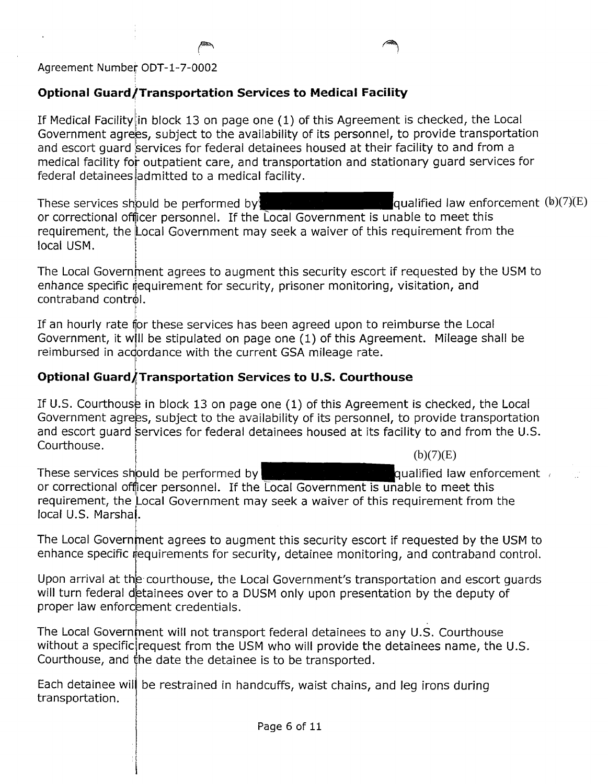#### i **Optional Guard/Transportation Services to Medical Facility**

If Medical Facility in block 13 on page one  $(1)$  of this Agreement is checked, the Local Government agrees, subject to the availability of its personnel, to provide transportation and escort quard services for federal detainees housed at their facility to and from a medical facility for outpatient care, and transportation and stationary quard services for federal detainees admitted to a medical facility.

These services should be performed by: or correctional offjicer personnel. If the Local Government is unable to meet this requirement, the Local Government may seek a waiver of this requirement from the local USM. qualified law enforcement  $(b)(7)(E)$ 

The Local Government agrees to augment this security escort if requested by the USM to enhance specific requirement for security, prisoner monitoring, visitation, and  $control$  contraband control.

If an hourly rate for these services has been agreed upon to reimburse the Local Government, it will be stipulated on page one (1) of this Agreement. Mileage shall be reimbursed in acdordance with the current GSA mileage rate.

# **Optional** GjuardATranS~)ortatlon **Services to U.S. Courthouse**

If U.S. Courthouse in block 13 on page one (1) of this Agreement is checked, the Local Government agrees, subject to the availability of its personnel, to provide transportation and escort quard services for federal detainees housed at its facility to and from the U.S. Courthouse.  $(b)(7)(E)$ 

ŗ. These services should be performed by under the unit of the qualified law enforcement  $\ell$ or correctional officer personnel. If the Local Government is unable to meet this requirement, the Local Government may seek a waiver of this requirement from the local U.S. Marshal.

The Local Government agrees to augment this security escort if requested by the USM to enhance specific requirements for security, detainee monitoring, and contraband control.

Upon arrival at the courthouse, the Local Government's transportation and escort quards will turn federal detainees over to a DUSM only upon presentation by the deputy of proper law enforcement credentials.

The Local Government will not transport federal detainees to any U.S. Courthouse without a specific request from the USM who will provide the detainees name, the U.S. Courthouse, and the date the detainee is to be transported.

Each detainee will be restrained in handcuffs, waist chains, and leg irons during transportation.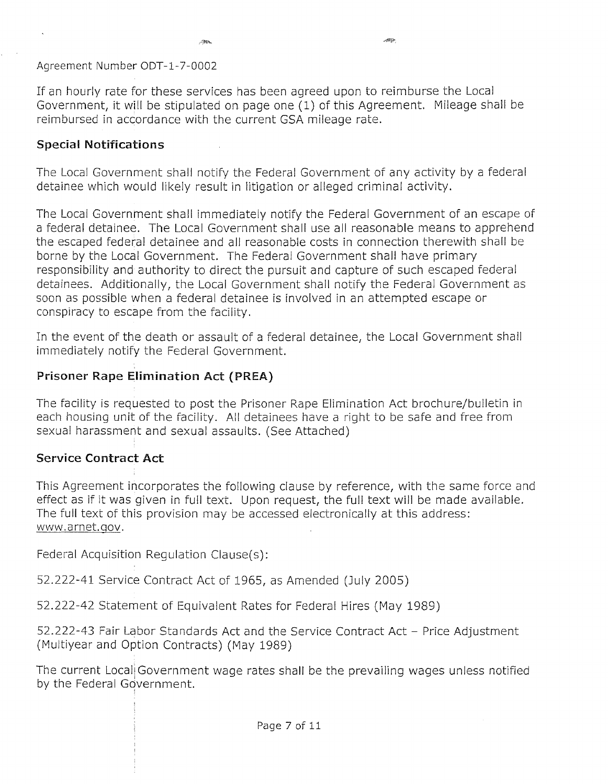$\sim 200$ 

If an hourly rate for these services has been agreed upon to reimburse the Local Government, it will be stipulated on page one (1) of this Agreement. Mileage shall be reimbursed in accordance with the current GSA mileage rate.

### **Special Notifications**

The Local Covernment shall notify the Federal Government of any activity by a federal detainee which would likely result in litigation or alleged criminal activity.

The Local Government shall immediately notify the Federal Government of an escape of a federal detainee. The Local Government shall use all reasonable means to apprehend the escaped federal detainee and all reasonable costs in connection therewith shall be borne by the Local Government. The Federal Government shall have primary responsibility and authority to direct the pursuit and capture of such escaped federal detainees. Additionally, the Local Government shall notify the Federal Government as soon as possible when a federal detainee is involved in an attempted escape or conspiracy to escape from the facility.

In the event of the death or assault of a federal detainee, the Local Government shall immediately notify the Federal Government.

# **Prisoner Rape Elimination Act (PREA)**

The facility is requested to post the Prisoner Rape Elimination Act brochure/bulletin in each housing unit of the facility. All detainees have a right to be safe and free from sexual harassment and sexual assaults. (See Attached)

# **Service Contract Act**

This Agreement incorporates the following clause by reference, with the same force and effect as if it was given in full text. Upon request, the full text will be made available. The full text of this provision may be accessed electronically at this address: www.arnet.qov.

Federal Acquisition Regulation Clause(s):

52.222-41 Service Contract Act of 1965, as Amended (July 2005)

52.222-42 Statement of Equivalent Rates for Federal Hires (May 1989)

52.222-43 Fair Labor Standards Act and the Service Contract Act - Price Adjustment (Multiyear and Option Contracts) (May 1989)

The current Local! Government wage rates shall be the prevailing wages unless notified by the Federal Government.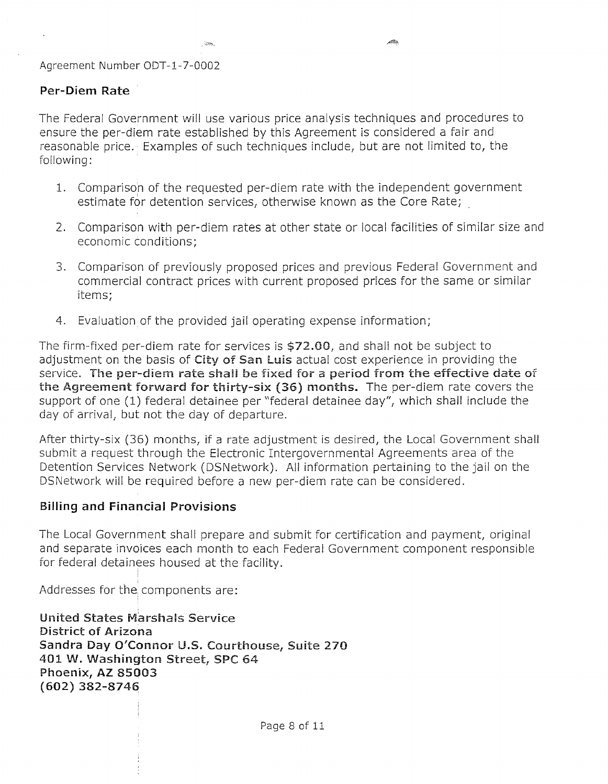### Per-Diem Rate

The Federal Government will use various price analysis techniques and procedures to ensure the per-diem rate established by this Agreement is considered a fair and reasonable price. Examples of such techniques include, but are not limited to, the following:

وتكمر

- 1. Comparison of the requested per-diem rate with the independent government estimate for detention services, otherwise known as the Core Rate;
- 2. Comparison with per-diem rates at other state or local facilities of similar size and economic conditions;
- 3. Comparison of previously proposed prices and previous Federal Government and commercial contract prices with current proposed prices for the same or similar items;
- 4. Evaluation of the provided jail operating expense information;

The firm-fixed per-diem rate for services is \$72.00, and shall not be subject to adjustment on the basis of City of San Luis actual cost experience in providing the service. The per-diem rate shall be fixed for a period from the effective date of the Agreement forward for thirty-six (36) months. The per-diem rate covers the support of one (1) federal detainee per "federal detainee day", which shall include the day of arrival, but not the day of departure.

After thirty-six (36) months, if a rate adjustment is desired, the Local Government shall submit a request through the Electronic Intergovernmental Agreements area of the Detention Services Network (DSNetwork). All information pertaining to the jail on the DSNetwork will be required before a new per-diem rate can be considered.

### Billing and Financial Provisions

The Local Government shall prepare and submit for certification and payment, original and separate invoices each month to each Federal Government component responsible for federal detainees housed at the facility.

Addresses for the components are:

United States Marshals Service District of Arizona Sandra Day O'Connor U.S. Courthouse, Suite 270 401 W. Washington Street, SPC 64 Phoenix, AZ 85003 (602) 382-8746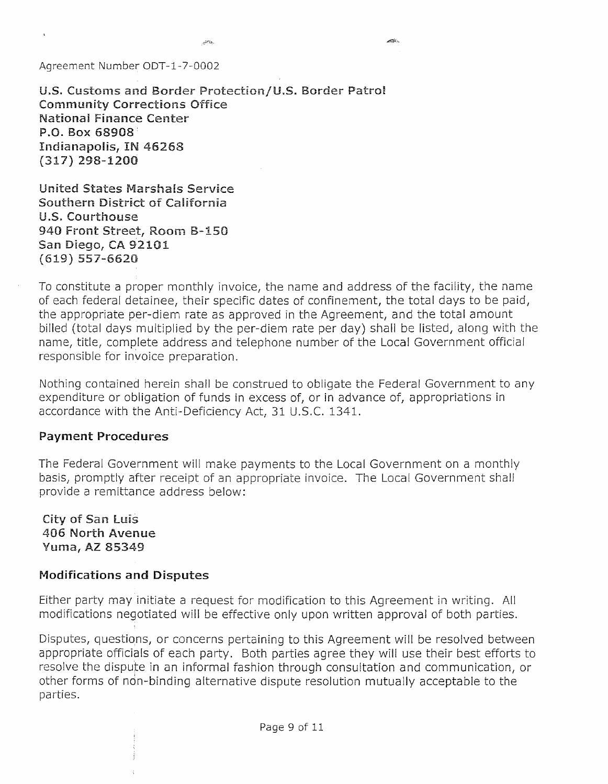u.s. Customs and Border Protection/U.S. Border Patrol Community Corrections Office Nationai Finance Center P.O. Box 68908· Indianapolis, IN 46268 (317) 298-1200

United States Marshals Service Southern District of California U.S. Courthouse 940 Front Street, Room 8-150 San Diego, CA 92101 (619) 557-6620

To constitute a proper monthly invoice, the name and address of the facility, the name of each federal detainee, their specific dates of confinement, the total days to be paid, the appropriate per-diem rate as approved in the Agreement, and the total amount billed (total days multiplied by the per-diem rate per day) shall be listed, along with the name, title, complete address and telephone number of the Local Government official responsible for invoice preparation.

alisi s

Nothing contained herein shall be construed to obligate the Federal Government to any expenditure or obligation of funds in excess of, or in advance of, appropriations in accordance with the Anti-Deficiency Act, 31 U.S.c. 1341.

### Payment Procedures

The Federal Government will make payments to the Local Government on a monthly basis, promptly after receipt of an appropriate invoice. The Local Government shall provide a remittance address below:

City of San luis 406 North Avenue Yuma, AZ 85349

### Modifications and Disputes

Either party may initiate a request for modification to this Agreement in writing. All modifications negotiated will be effective only upon written approval of both parties.

Disputes, questions, or concerns pertaining to this Agreement will be resolved between appropriate officials of each party. Both parties agree they will use their best efforts to resolve the dispute in an informal fashion through consultation and communication, or other forms of non-binding alternative dispute resolution mutually acceptable to the parties.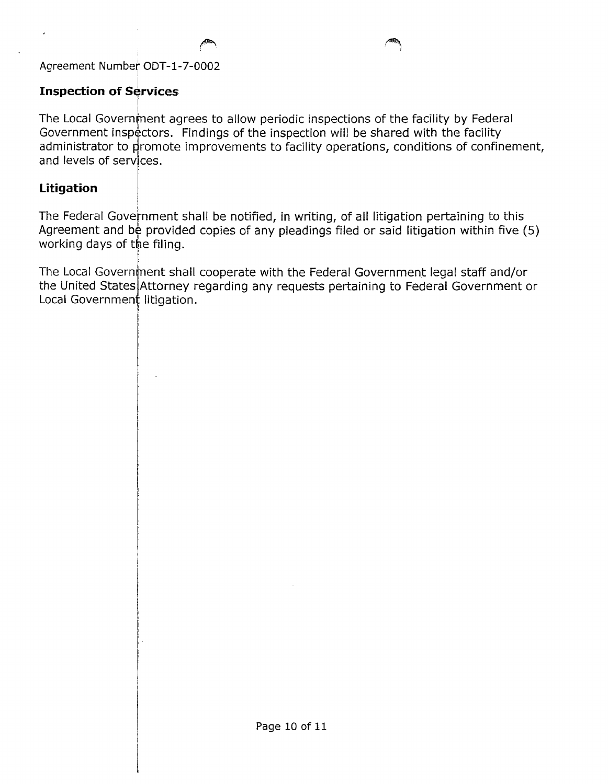# **Inspection of Services**

The Local Government agrees to allow periodic inspections of the facility by Federal Government inspectors. Findings of the inspection will be shared with the facility administrator to promote improvements to facility operations, conditions of confinement, and levels of services.

# **Litigation**

I The Federal Government shall be notified, in writing, of all litigation pertaining to this Agreement and be provided copies of any pleadings filed or said litigation within five (5) working days of the filing.

The Local Government shall cooperate with the Federal Government legal staff and/or the United States Attorney regarding any requests pertaining to Federal Government or Local Government litigation.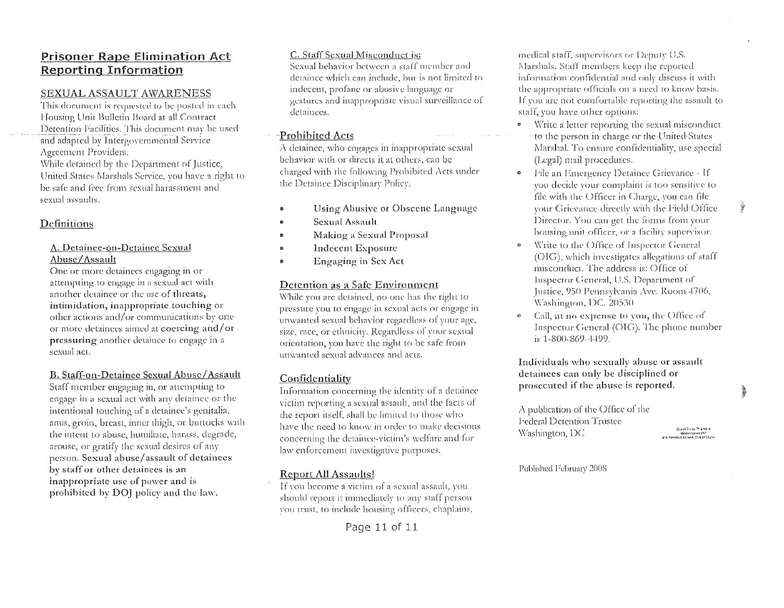### **Prisoner Rape Elimination Act Reporting Information**

#### SEXUAL ASSAULT AWARENESS

This document is requested to be posted in each Housing Unit Bulletin Board at all Contract Detention Facilities. This document may be used and adapted by Intergovernmental Service Agreement Providers.

While detained by the Department of Justice, United States Marshals Service, you have a right to be safe and free from sexual harassment and sexual assaults.

### Definitions

#### A. Detainee-on-Detainee Sexual Abuse/Assault

One or more detainees engaging in or attempting to engage in a sexual act with another detainee or the use of threats, intimidation, inappropriate touching or other actions and/or communications by one or more detainees aimed at coercing and/or pressuring another detainee to engage in a sexual act.

#### B. Staff-on-Detainee Sexual Abuse/Assault

Staff member engaging in, or attempting to engage in a sexual act with any detainee or the intentional touching of a detaince's genitalia, anus, groin, breast, inner thigh, or buttocks with the intent to abuse, humiliate, harass, degrade, arouse, or gratify the sexual desires of any person. Sexual abuse/assault of detainees by staff or other detainees is an inappropriate use of power and is prohibited by DOJ policy and the law.

#### C. Staff Sexual Misconduct is:

Sexual behavior between a staff member and detaince which can include, but is not limited to indecent, profane or abusive language or gestures and inappropriate visual surveillance of detainees.

#### Prohibited Acts

A detainee, who engages in inappropriate sexual behavior with or directs it at others, can be charged with the following Prohibited Acts under the Detainee Disciplinary Policy.

- Using Abusive or Obscene Language
- **Sexual Assault**
- Making a Sexual Proposal
- Indecent Exposure
- Engaging in Sex Act

#### Detention as a Safe Environment

While you are detained, no one has the right to pressure you to engage in sexual acts or engage in unwanted sexual behavior regardless of your age, size, race, or ethnicity. Regardless of your sexual orientation, you have the right to be safe from unwanted sexual advances and acts.

#### Confidentiality

Information concerning the identity of a detainee victim reporting a sexual assault, and the facts of the report itself, shall be limited to those who have the need to know in order to make decisions concerning the detainee-victim's welfare and for law enforcement investigative purposes.

#### Report All Assaults!

If you become a victim of a sexual assault, you should report it immediately to any staff person. you trust, to include housing officers, chaplains, medical staff, supervisors or Deputy U.S. Marshals. Staff members keep the reported information confidential and only discuss it with the appropriate officials on a need to know basis. If you are not comfortable reporting the assault to staff, you have other options:

- Write a letter reporting the sexual misconduct  $\bullet$ to the person in charge or the United States Marshal. To ensure confidentiality, use special (Legal) mail procedures.
- File an Emergency Detainee Grievance If o. you decide your complaint is too sensitive to file with the Officer in Charge, you can file your Grievance directly with the Field Office Director. You can get the forms from your housing unit officer, or a facility supervisor.
- Write to the Office of Inspector General (OIG), which investigates allegations of staff misconduct. The address is: Office of Inspector General, U.S. Department of Justice, 950 Pennsylvania Ave. Room 4706, Washington, DC. 20530
- Call, at no expense to you, the Office of Inspector General (OIG). The phone number is 1-800-869-4499.

Individuals who sexually abuse or assault detainees can only be disciplined or prosecuted if the abuse is reported.

A publication of the Office of the Federal Detention Trustee Washington, DC

QuekTing<sup>ra</sup> and a decompressor<br>are needed to see this proture

Published February 2008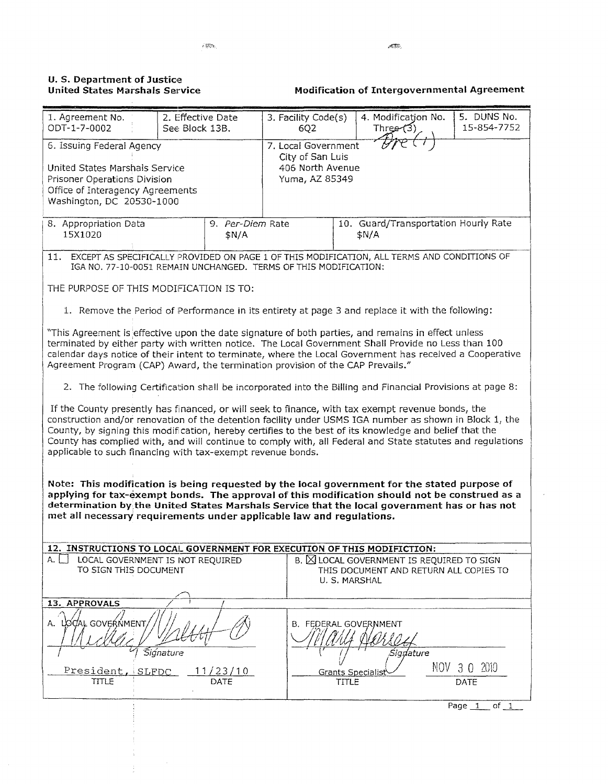#### U. S. Department of Justice United States Marshals Service

Modification of Intergovernmental Agreement

| 1. Agreement No.<br>ODT-1-7-0002                                                                                                                                                                                                                                                                                                                                                                                                                                                                     | 2. Effective Date                                                                                                                                                                                                                                                                                                                                                                                       |                  | 3. Facility Code(s)                                                           |                                               | 4. Modification No.                                                                                  |  | 5. DUNS No.<br>15-854-7752 |  |
|------------------------------------------------------------------------------------------------------------------------------------------------------------------------------------------------------------------------------------------------------------------------------------------------------------------------------------------------------------------------------------------------------------------------------------------------------------------------------------------------------|---------------------------------------------------------------------------------------------------------------------------------------------------------------------------------------------------------------------------------------------------------------------------------------------------------------------------------------------------------------------------------------------------------|------------------|-------------------------------------------------------------------------------|-----------------------------------------------|------------------------------------------------------------------------------------------------------|--|----------------------------|--|
|                                                                                                                                                                                                                                                                                                                                                                                                                                                                                                      | See Block 13B.                                                                                                                                                                                                                                                                                                                                                                                          |                  | Three $(3)$<br>6Q2                                                            |                                               |                                                                                                      |  |                            |  |
| 6. Issuing Federal Agency<br>United States Marshals Service<br>Prisoner Operations Division<br>Office of Interagency Agreements<br>Washington, DC 20530-1000                                                                                                                                                                                                                                                                                                                                         |                                                                                                                                                                                                                                                                                                                                                                                                         |                  | 7. Local Government<br>City of San Luis<br>406 North Avenue<br>Yuma, AZ 85349 |                                               |                                                                                                      |  |                            |  |
| 8. Appropriation Data<br>9. Per-Diem Rate<br>15X1020<br>\$N/A                                                                                                                                                                                                                                                                                                                                                                                                                                        |                                                                                                                                                                                                                                                                                                                                                                                                         |                  |                                                                               | 10. Guard/Transportation Hourly Rate<br>\$N/A |                                                                                                      |  |                            |  |
| EXCEPT AS SPECIFICALLY PROVIDED ON PAGE 1 OF THIS MODIFICATION, ALL TERMS AND CONDITIONS OF<br>11.<br>IGA NO. 77-10-0051 REMAIN UNCHANGED. TERMS OF THIS MODIFICATION:                                                                                                                                                                                                                                                                                                                               |                                                                                                                                                                                                                                                                                                                                                                                                         |                  |                                                                               |                                               |                                                                                                      |  |                            |  |
| THE PURPOSE OF THIS MODIFICATION IS TO:                                                                                                                                                                                                                                                                                                                                                                                                                                                              |                                                                                                                                                                                                                                                                                                                                                                                                         |                  |                                                                               |                                               |                                                                                                      |  |                            |  |
| 1. Remove the Period of Performance in its entirety at page 3 and replace it with the following:                                                                                                                                                                                                                                                                                                                                                                                                     |                                                                                                                                                                                                                                                                                                                                                                                                         |                  |                                                                               |                                               |                                                                                                      |  |                            |  |
|                                                                                                                                                                                                                                                                                                                                                                                                                                                                                                      | "This Agreement is effective upon the date signature of both parties, and remains in effect unless<br>terminated by either party with written notice. The Local Government Shall Provide no Less than 100<br>calendar days notice of their intent to terminate, where the Local Government has received a Cooperative<br>Agreement Program (CAP) Award, the termination provision of the CAP Prevails." |                  |                                                                               |                                               |                                                                                                      |  |                            |  |
| 2. The following Certification shall be incorporated into the Billing and Financial Provisions at page 8:                                                                                                                                                                                                                                                                                                                                                                                            |                                                                                                                                                                                                                                                                                                                                                                                                         |                  |                                                                               |                                               |                                                                                                      |  |                            |  |
| If the County presently has financed, or will seek to finance, with tax exempt revenue bonds, the<br>construction and/or renovation of the detention facility under USMS IGA number as shown in Block 1, the<br>County, by signing this modification, hereby certifies to the best of its knowledge and belief that the<br>County has complied with, and will continue to comply with, all Federal and State statutes and regulations<br>applicable to such financing with tax-exempt revenue bonds. |                                                                                                                                                                                                                                                                                                                                                                                                         |                  |                                                                               |                                               |                                                                                                      |  |                            |  |
| Note: This modification is being requested by the local government for the stated purpose of<br>applying for tax-exempt bonds. The approval of this modification should not be construed as a<br>determination by the United States Marshals Service that the local government has or has not<br>met all necessary requirements under applicable law and regulations.                                                                                                                                |                                                                                                                                                                                                                                                                                                                                                                                                         |                  |                                                                               |                                               |                                                                                                      |  |                            |  |
| 12. INSTRUCTIONS TO LOCAL GOVERNMENT FOR EXECUTION OF THIS MODIFICTION:<br>A. I<br>LOCAL GOVERNMENT IS NOT REQUIRED<br>TO SIGN THIS DOCUMENT                                                                                                                                                                                                                                                                                                                                                         |                                                                                                                                                                                                                                                                                                                                                                                                         |                  |                                                                               |                                               | B. X LOCAL GOVERNMENT IS REQUIRED TO SIGN<br>THIS DOCUMENT AND RETURN ALL COPIES TO<br>U. S. MARSHAL |  |                            |  |
| 13. APPROVALS                                                                                                                                                                                                                                                                                                                                                                                                                                                                                        |                                                                                                                                                                                                                                                                                                                                                                                                         |                  |                                                                               |                                               |                                                                                                      |  |                            |  |
| A. LOCAL GOVERNMENT,<br>President, SLFDC                                                                                                                                                                                                                                                                                                                                                                                                                                                             | Signature                                                                                                                                                                                                                                                                                                                                                                                               | <u> 11/23/10</u> |                                                                               |                                               | <b>B. FEDERAL GOVERNMENT</b><br>Signature<br><b>Grants Specialis</b>                                 |  | NOV 3 0 2010               |  |
| <b>TITLE</b>                                                                                                                                                                                                                                                                                                                                                                                                                                                                                         |                                                                                                                                                                                                                                                                                                                                                                                                         | DATE             |                                                                               | TITLE                                         |                                                                                                      |  | DATE                       |  |
|                                                                                                                                                                                                                                                                                                                                                                                                                                                                                                      |                                                                                                                                                                                                                                                                                                                                                                                                         |                  |                                                                               |                                               |                                                                                                      |  | of $1$<br>Page 1           |  |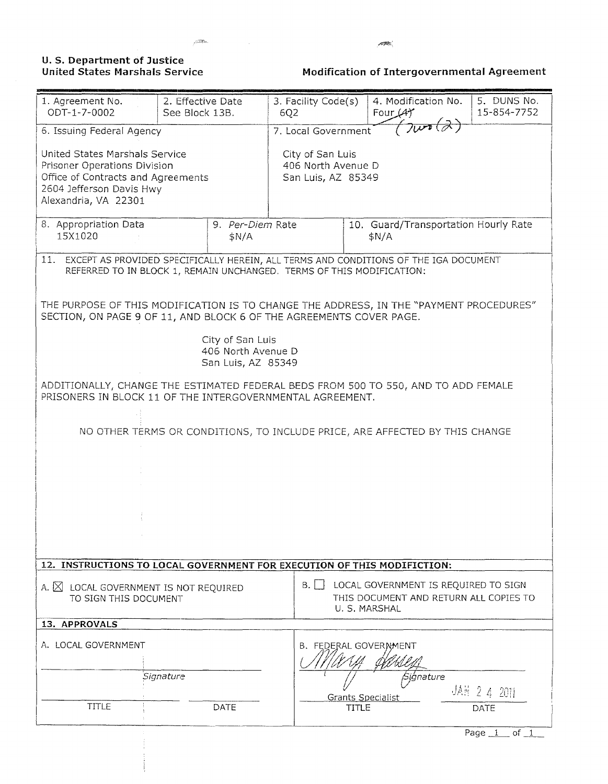### **U. S. Department of Justice United States Marshals Service**

politika.

**Modification of Intergovernmental Agreement** 

| 1. Agreement No.<br>ODT-1-7-0002                                                                                                                              | 2. Effective Date<br>See Block 13B. |                                                              | 3. Facility Code(s)<br>6Q2  |                                                                                                 | 4. Modification No.<br>Four $(4)$                                                    | 5. DUNS No.<br>15-854-7752 |  |  |
|---------------------------------------------------------------------------------------------------------------------------------------------------------------|-------------------------------------|--------------------------------------------------------------|-----------------------------|-------------------------------------------------------------------------------------------------|--------------------------------------------------------------------------------------|----------------------------|--|--|
| 6. Issuing Federal Agency                                                                                                                                     |                                     |                                                              | 7008<br>7. Local Government |                                                                                                 |                                                                                      |                            |  |  |
| United States Marshals Service<br>Prisoner Operations Division<br>Office of Contracts and Agreements<br>2604 Jefferson Davis Hwy<br>Alexandria, VA 22301      |                                     |                                                              |                             | City of San Luis<br>406 North Avenue D<br>San Luis, AZ 85349                                    |                                                                                      |                            |  |  |
| 8. Appropriation Data<br>9. Per-Diem Rate<br>15X1020<br>\$N/A                                                                                                 |                                     |                                                              |                             | 10. Guard/Transportation Hourly Rate<br>\$N/A                                                   |                                                                                      |                            |  |  |
| 11.<br>REFERRED TO IN BLOCK 1, REMAIN UNCHANGED. TERMS OF THIS MODIFICATION:                                                                                  |                                     |                                                              |                             |                                                                                                 | EXCEPT AS PROVIDED SPECIFICALLY HEREIN, ALL TERMS AND CONDITIONS OF THE IGA DOCUMENT |                            |  |  |
| THE PURPOSE OF THIS MODIFICATION IS TO CHANGE THE ADDRESS, IN THE "PAYMENT PROCEDURES"<br>SECTION, ON PAGE 9 OF 11, AND BLOCK 6 OF THE AGREEMENTS COVER PAGE. |                                     |                                                              |                             |                                                                                                 |                                                                                      |                            |  |  |
|                                                                                                                                                               |                                     | City of San Luis<br>406 North Avenue D<br>San Luis, AZ 85349 |                             |                                                                                                 |                                                                                      |                            |  |  |
| ADDITIONALLY, CHANGE THE ESTIMATED FEDERAL BEDS FROM 500 TO 550, AND TO ADD FEMALE<br>PRISONERS IN BLOCK 11 OF THE INTERGOVERNMENTAL AGREEMENT.               |                                     |                                                              |                             |                                                                                                 |                                                                                      |                            |  |  |
|                                                                                                                                                               |                                     |                                                              |                             |                                                                                                 | NO OTHER TERMS OR CONDITIONS, TO INCLUDE PRICE, ARE AFFECTED BY THIS CHANGE          |                            |  |  |
|                                                                                                                                                               |                                     |                                                              |                             |                                                                                                 |                                                                                      |                            |  |  |
|                                                                                                                                                               |                                     |                                                              |                             |                                                                                                 |                                                                                      |                            |  |  |
|                                                                                                                                                               |                                     |                                                              |                             |                                                                                                 |                                                                                      |                            |  |  |
|                                                                                                                                                               |                                     |                                                              |                             |                                                                                                 |                                                                                      |                            |  |  |
| 12. INSTRUCTIONS TO LOCAL GOVERNMENT FOR EXECUTION OF THIS MODIFICTION:                                                                                       |                                     |                                                              |                             |                                                                                                 |                                                                                      |                            |  |  |
| A. X LOCAL GOVERNMENT IS NOT REQUIRED<br>TO SIGN THIS DOCUMENT                                                                                                |                                     |                                                              | $B. \vert$                  | LOCAL GOVERNMENT IS REQUIRED TO SIGN<br>THIS DOCUMENT AND RETURN ALL COPIES TO<br>U. S. MARSHAL |                                                                                      |                            |  |  |
| 13. APPROVALS                                                                                                                                                 |                                     |                                                              |                             |                                                                                                 |                                                                                      |                            |  |  |
| A. LOCAL GOVERNMENT                                                                                                                                           |                                     |                                                              |                             |                                                                                                 | <b>B. FEDERAL GOVERNMENT</b>                                                         |                            |  |  |
| Signature                                                                                                                                                     |                                     |                                                              |                             | Signature<br>JAH 2 4 2011<br><b>Grants Specialist</b>                                           |                                                                                      |                            |  |  |
| <b>TITLE</b>                                                                                                                                                  |                                     | DATE                                                         |                             | <b>TITLE</b>                                                                                    |                                                                                      | DATE<br>Page $1$ of 1      |  |  |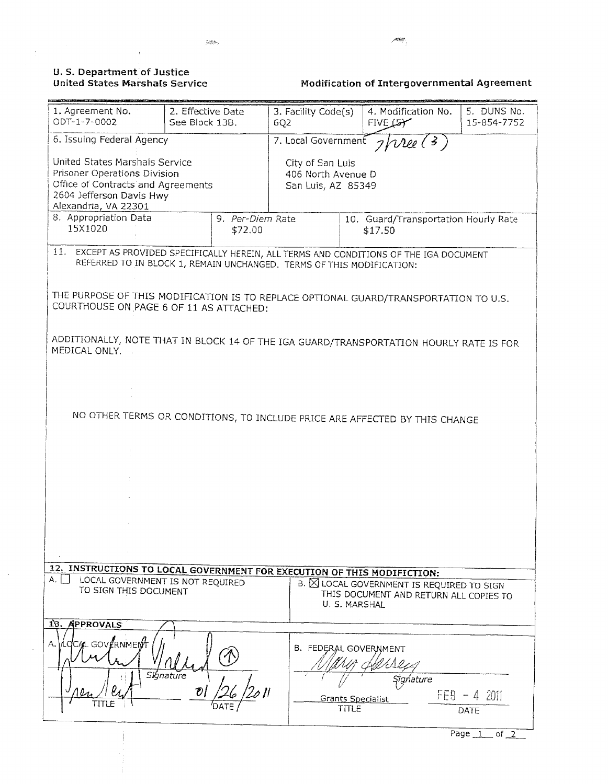#### **U.S. Department of Justice United States Marshals Service**

 $\Delta$ 

 $\frac{1}{2}$ 

 $\bar{z}$ 

Modification of Intergovernmental Agreement

| 1. Agreement No.<br>ODT-1-7-0002                                                                                                                         | 2. Effective Date<br>See Block 13B.                                        | 3. Facility Code(s)<br>6Q2                      |       | 4. Modification No.<br>$FIVE$ $57$                                                                  | 5. DUNS No.<br>15-854-7752 |  |
|----------------------------------------------------------------------------------------------------------------------------------------------------------|----------------------------------------------------------------------------|-------------------------------------------------|-------|-----------------------------------------------------------------------------------------------------|----------------------------|--|
| 6. Issuing Federal Agency                                                                                                                                | 7. Local Government $\frac{1}{2}$ / $\frac{1}{2}$ (3)                      |                                                 |       |                                                                                                     |                            |  |
| United States Marshals Service<br>Prisoner Operations Division<br>Office of Contracts and Agreements<br>2604 Jefferson Davis Hwy<br>Alexandria, VA 22301 | City of San Luis<br>406 North Avenue D<br>San Luis, AZ 85349               |                                                 |       |                                                                                                     |                            |  |
| 8. Appropriation Data<br>15X1020                                                                                                                         | 9. Per-Diem Rate                                                           | 10. Guard/Transportation Hourly Rate<br>\$17.50 |       |                                                                                                     |                            |  |
| 11. EXCEPT AS PROVIDED SPECIFICALLY HEREIN, ALL TERMS AND CONDITIONS OF THE IGA DOCUMENT                                                                 | REFERRED TO IN BLOCK 1, REMAIN UNCHANGED. TERMS OF THIS MODIFICATION:      |                                                 |       |                                                                                                     |                            |  |
| THE PURPOSE OF THIS MODIFICATION IS TO REPLACE OPTIONAL GUARD/TRANSPORTATION TO U.S.<br>COURTHOUSE ON PAGE 6 OF 11 AS ATTACHED:                          |                                                                            |                                                 |       |                                                                                                     |                            |  |
| ADDITIONALLY, NOTE THAT IN BLOCK 14 OF THE IGA GUARD/TRANSPORTATION HOURLY RATE IS FOR<br>MEDICAL ONLY.                                                  |                                                                            |                                                 |       |                                                                                                     |                            |  |
|                                                                                                                                                          |                                                                            |                                                 |       |                                                                                                     |                            |  |
|                                                                                                                                                          | NO OTHER TERMS OR CONDITIONS, TO INCLUDE PRICE ARE AFFECTED BY THIS CHANGE |                                                 |       |                                                                                                     |                            |  |
|                                                                                                                                                          |                                                                            |                                                 |       |                                                                                                     |                            |  |
|                                                                                                                                                          |                                                                            |                                                 |       |                                                                                                     |                            |  |
|                                                                                                                                                          |                                                                            |                                                 |       |                                                                                                     |                            |  |
|                                                                                                                                                          |                                                                            |                                                 |       |                                                                                                     |                            |  |
| 12. INSTRUCTIONS TO LOCAL GOVERNMENT FOR EXECUTION OF THIS MODIFICTION:                                                                                  |                                                                            |                                                 |       |                                                                                                     |                            |  |
| А.<br>LOCAL GOVERNMENT IS NOT REQUIRED<br>TO SIGN THIS DOCUMENT                                                                                          |                                                                            |                                                 |       | B. ELOCAL GOVERNMENT IS REQUIRED TO SIGN<br>THIS DOCUMENT AND RETURN ALL COPIES TO<br>U. S. MARSHAL |                            |  |
| 18. APPROVALS                                                                                                                                            |                                                                            |                                                 |       |                                                                                                     |                            |  |
| CCAL GOVERNMENT<br>А.                                                                                                                                    | Signature<br>O1                                                            | B. FEDERAL GOVERNMENT                           |       | Sigńature                                                                                           |                            |  |
|                                                                                                                                                          |                                                                            |                                                 | TITLE | Grants Specialist                                                                                   | $FEB - 42011$<br>DATE      |  |
|                                                                                                                                                          |                                                                            |                                                 |       |                                                                                                     | Page 1<br>of $2$           |  |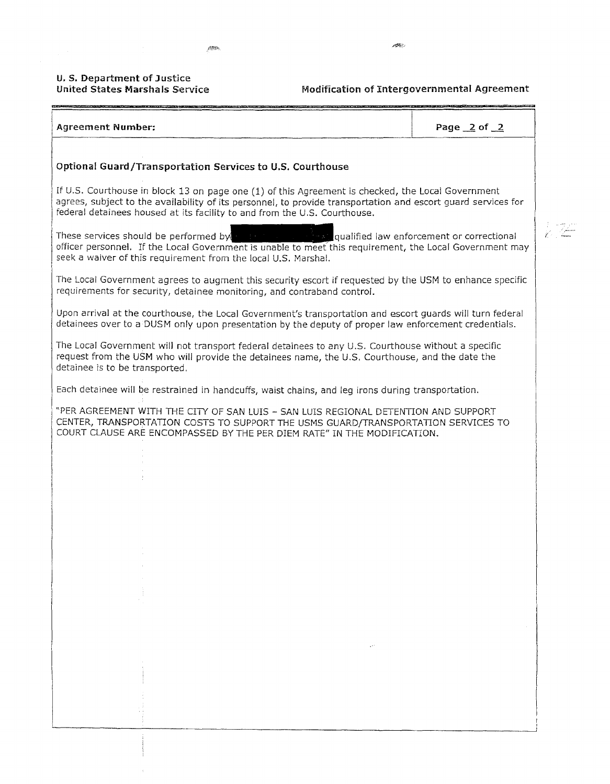# **U. S. Department of Justice**

## **Modification of Intergovernmental Agreement**

| <b>Agreement Number:</b>                                                                                                                                                                                                                                                                        | Page $2$ of $2$ |
|-------------------------------------------------------------------------------------------------------------------------------------------------------------------------------------------------------------------------------------------------------------------------------------------------|-----------------|
| Optional Guard/Transportation Services to U.S. Courthouse                                                                                                                                                                                                                                       |                 |
| If U.S. Courthouse in block 13 on page one (1) of this Agreement is checked, the Local Government<br>agrees, subject to the availability of its personnel, to provide transportation and escort guard services for<br>federal detainees housed at its facility to and from the U.S. Courthouse. |                 |
| These services should be performed by $\cdot$ is the strategy qualified law enforcement or correctional<br>officer personnel. If the Local Government is unable to meet this requirement, the Local Government may<br>seek a waiver of this requirement from the local U.S. Marshal.            |                 |
| The Local Government agrees to augment this security escort if requested by the USM to enhance specific<br>requirements for security, detainee monitoring, and contraband control.                                                                                                              |                 |
| Upon arrival at the courthouse, the Local Government's transportation and escort guards will turn federal<br>detainees over to a DUSM only upon presentation by the deputy of proper law enforcement credentials.                                                                               |                 |
| The Local Government will not transport federal detainees to any U.S. Courthouse without a specific<br>request from the USM who will provide the detainees name, the U.S. Courthouse, and the date the<br>detainee is to be transported.                                                        |                 |
| Each detainee will be restrained in handcuffs, waist chains, and leg irons during transportation.                                                                                                                                                                                               |                 |
| "PER AGREEMENT WITH THE CITY OF SAN LUIS - SAN LUIS REGIONAL DETENTION AND SUPPORT<br>CENTER, TRANSPORTATION COSTS TO SUPPORT THE USMS GUARD/TRANSPORTATION SERVICES TO<br>COURT CLAUSE ARE ENCOMPASSED BY THE PER DIEM RATE" IN THE MODIFICATION.                                              |                 |
|                                                                                                                                                                                                                                                                                                 |                 |
|                                                                                                                                                                                                                                                                                                 |                 |
|                                                                                                                                                                                                                                                                                                 |                 |
|                                                                                                                                                                                                                                                                                                 |                 |
|                                                                                                                                                                                                                                                                                                 |                 |
|                                                                                                                                                                                                                                                                                                 |                 |
|                                                                                                                                                                                                                                                                                                 |                 |
|                                                                                                                                                                                                                                                                                                 |                 |
|                                                                                                                                                                                                                                                                                                 |                 |
|                                                                                                                                                                                                                                                                                                 |                 |
|                                                                                                                                                                                                                                                                                                 |                 |
|                                                                                                                                                                                                                                                                                                 |                 |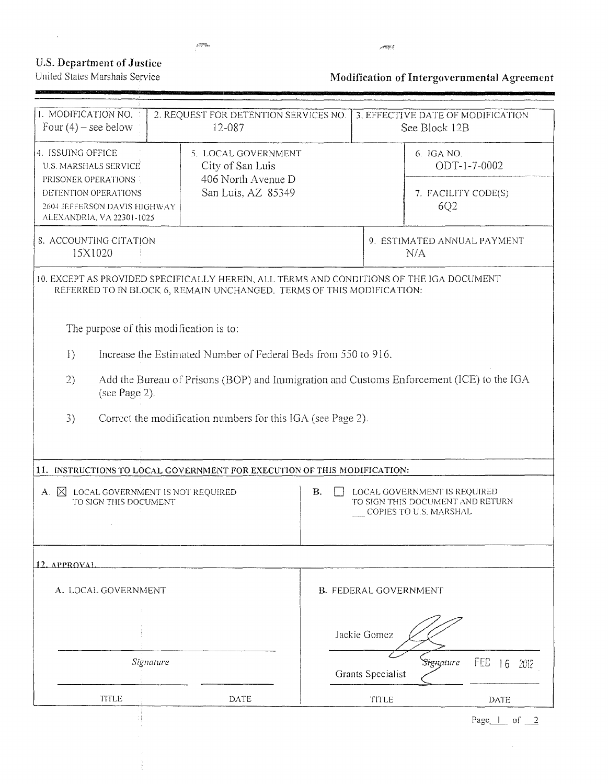### **U.S. Department of Justice** United States Marshals Service

ł

 $\sim 10^{-11}$ 

**MA** 

 $\mathcal{L}^{\text{max}}$ 

# Modification of Intergovernmental Agreement

| 1. MODIFICATION NO.<br>Four $(4)$ – see below                                                                                                                                   | 2. REQUEST FOR DETENTION SERVICES NO.<br>12-087                                     |  |                   | 3. EFFECTIVE DATE OF MODIFICATION<br>See Block 12B       |  |  |  |
|---------------------------------------------------------------------------------------------------------------------------------------------------------------------------------|-------------------------------------------------------------------------------------|--|-------------------|----------------------------------------------------------|--|--|--|
| 4. ISSUING OFFICE<br>U.S. MARSHALS SERVICE<br>PRISONER OPERATIONS<br>DETENTION OPERATIONS<br>2604 JEFFERSON DAVIS HIGHWAY<br>ALEXANDRIA, VA 22301-1025                          | 5. LOCAL GOVERNMENT<br>City of San Luis<br>406 North Avenue D<br>San Luis, AZ 85349 |  |                   | 6. IGA NO.<br>ODT-1-7-0002<br>7. FACILITY CODE(S)<br>6Q2 |  |  |  |
| 8. ACCOUNTING CITATION<br>15X1020                                                                                                                                               |                                                                                     |  |                   | 9. ESTIMATED ANNUAL PAYMENT<br>N/A                       |  |  |  |
| 10. EXCEPT AS PROVIDED SPECIFICALLY HEREIN, ALL TERMS AND CONDITIONS OF THE IGA DOCUMENT                                                                                        | REFERRED TO IN BLOCK 6, REMAIN UNCHANGED. TERMS OF THIS MODIFICATION:               |  |                   |                                                          |  |  |  |
| The purpose of this modification is to:                                                                                                                                         |                                                                                     |  |                   |                                                          |  |  |  |
| 1)                                                                                                                                                                              | Increase the Estimated Number of Federal Beds from 550 to 916.                      |  |                   |                                                          |  |  |  |
| Add the Bureau of Prisons (BOP) and Immigration and Customs Enforcement (ICE) to the IGA<br>2)<br>(see Page 2).                                                                 |                                                                                     |  |                   |                                                          |  |  |  |
| 3)                                                                                                                                                                              | Correct the modification numbers for this IGA (see Page 2).                         |  |                   |                                                          |  |  |  |
|                                                                                                                                                                                 |                                                                                     |  |                   |                                                          |  |  |  |
| 11. INSTRUCTIONS TO LOCAL GOVERNMENT FOR EXECUTION OF THIS MODIFICATION:                                                                                                        |                                                                                     |  |                   |                                                          |  |  |  |
| LOCAL GOVERNMENT IS NOT REQUIRED<br>В.<br>LOCAL GOVERNMENT IS REQUIRED<br>A. $\boxtimes$<br>TO SIGN THIS DOCUMENT<br>TO SIGN THIS DOCUMENT AND RETURN<br>COPIES TO U.S. MARSHAL |                                                                                     |  |                   |                                                          |  |  |  |
| 12. APPROVAL                                                                                                                                                                    |                                                                                     |  |                   |                                                          |  |  |  |
| A. LOCAL GOVERNMENT<br><b>B. FEDERAL GOVERNMENT</b>                                                                                                                             |                                                                                     |  |                   |                                                          |  |  |  |
|                                                                                                                                                                                 |                                                                                     |  |                   |                                                          |  |  |  |
| Jackie Gomez                                                                                                                                                                    |                                                                                     |  |                   |                                                          |  |  |  |
| Signature                                                                                                                                                                       |                                                                                     |  | Grants Specialist | <b>FES</b><br>Signature<br>16<br>2012                    |  |  |  |
| TITLE                                                                                                                                                                           | DATE                                                                                |  | TITLE             | <b>DATE</b>                                              |  |  |  |
|                                                                                                                                                                                 |                                                                                     |  |                   | Page $1$ of $2$                                          |  |  |  |

 $\sim 10^7$